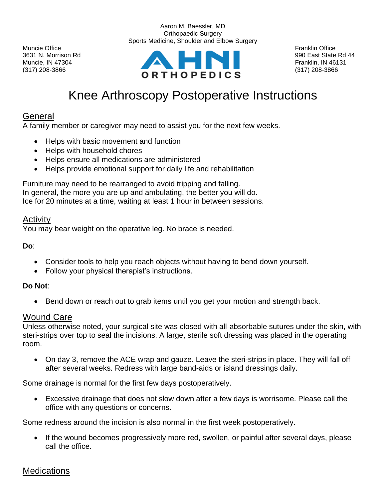

Aaron M. Baessler, MD Orthopaedic Surgery Sports Medicine, Shoulder and Elbow Surgery

# Knee Arthroscopy Postoperative Instructions

## **General**

A family member or caregiver may need to assist you for the next few weeks.

- Helps with basic movement and function
- Helps with household chores
- Helps ensure all medications are administered
- Helps provide emotional support for daily life and rehabilitation

Furniture may need to be rearranged to avoid tripping and falling. In general, the more you are up and ambulating, the better you will do. Ice for 20 minutes at a time, waiting at least 1 hour in between sessions.

### **Activity**

You may bear weight on the operative leg. No brace is needed.

**Do**:

- Consider tools to help you reach objects without having to bend down yourself.
- Follow your physical therapist's instructions.

#### **Do Not**:

• Bend down or reach out to grab items until you get your motion and strength back.

### Wound Care

Unless otherwise noted, your surgical site was closed with all-absorbable sutures under the skin, with steri-strips over top to seal the incisions. A large, sterile soft dressing was placed in the operating room.

• On day 3, remove the ACE wrap and gauze. Leave the steri-strips in place. They will fall off after several weeks. Redress with large band-aids or island dressings daily.

Some drainage is normal for the first few days postoperatively.

• Excessive drainage that does not slow down after a few days is worrisome. Please call the office with any questions or concerns.

Some redness around the incision is also normal in the first week postoperatively.

• If the wound becomes progressively more red, swollen, or painful after several days, please call the office.

## **Medications**